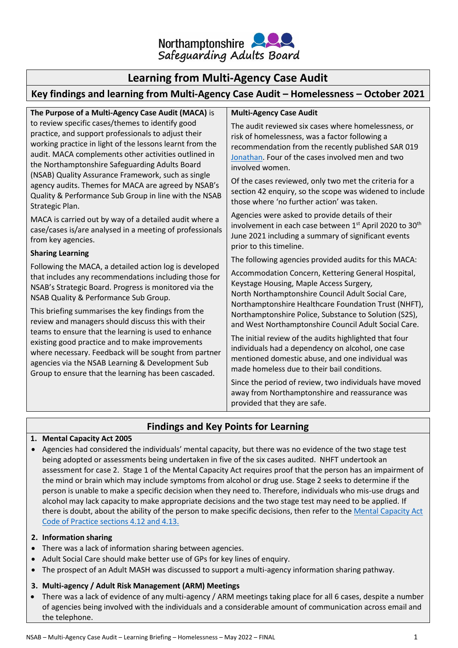

# **Learning from Multi-Agency Case Audit**

# **Key findings and learning from Multi-Agency Case Audit – Homelessness – October 2021**

**The Purpose of a Multi-Agency Case Audit (MACA)** is to review specific cases/themes to identify good practice, and support professionals to adjust their working practice in light of the lessons learnt from the audit. MACA complements other activities outlined in the Northamptonshire Safeguarding Adults Board (NSAB) Quality Assurance Framework, such as single agency audits. Themes for MACA are agreed by NSAB's Quality & Performance Sub Group in line with the NSAB Strategic Plan.

MACA is carried out by way of a detailed audit where a case/cases is/are analysed in a meeting of professionals from key agencies.

### **Sharing Learning**

Following the MACA, a detailed action log is developed that includes any recommendations including those for NSAB's Strategic Board. Progress is monitored via the NSAB Quality & Performance Sub Group.

This briefing summarises the key findings from the review and managers should discuss this with their teams to ensure that the learning is used to enhance existing good practice and to make improvements where necessary. Feedback will be sought from partner agencies via the NSAB Learning & Development Sub Group to ensure that the learning has been cascaded.

### **Multi-Agency Case Audit**

The audit reviewed six cases where homelessness, or risk of homelessness, was a factor following a recommendation from the recently published SAR 019 [Jonathan.](https://www.northamptonshiresab.org.uk/Documents/SAR019%20-%20Overview%20Report%20-%2002.03.21%20-%20Final%20v3.pdf) Four of the cases involved men and two involved women.

Of the cases reviewed, only two met the criteria for a section 42 enquiry, so the scope was widened to include those where 'no further action' was taken.

Agencies were asked to provide details of their involvement in each case between 1st April 2020 to 30<sup>th</sup> June 2021 including a summary of significant events prior to this timeline.

The following agencies provided audits for this MACA:

Accommodation Concern, Kettering General Hospital, Keystage Housing, Maple Access Surgery*,* North Northamptonshire Council Adult Social Care, Northamptonshire Healthcare Foundation Trust (NHFT), Northamptonshire Police, Substance to Solution (S2S), and West Northamptonshire Council Adult Social Care.

The initial review of the audits highlighted that four individuals had a dependency on alcohol, one case mentioned domestic abuse, and one individual was made homeless due to their bail conditions.

Since the period of review, two individuals have moved away from Northamptonshire and reassurance was provided that they are safe.

# **Findings and Key Points for Learning**

### **1. Mental Capacity Act 2005**

• Agencies had considered the individuals' mental capacity, but there was no evidence of the two stage test being adopted or assessments being undertaken in five of the six cases audited. NHFT undertook an assessment for case 2.Stage 1 of the Mental Capacity Act requires proof that the person has an impairment of the mind or brain which may include symptoms from alcohol or drug use. Stage 2 seeks to determine if the person is unable to make a specific decision when they need to. Therefore, individuals who mis-use drugs and alcohol may lack capacity to make appropriate decisions and the two stage test may need to be applied. If there is doubt, about the ability of the person to make specific decisions, then refer to th[e Mental Capacity Act](https://assets.publishing.service.gov.uk/government/uploads/system/uploads/attachment_data/file/921428/Mental-capacity-act-code-of-practice.pdf)  [Code of Practice sections 4.12 and 4.13.](https://assets.publishing.service.gov.uk/government/uploads/system/uploads/attachment_data/file/921428/Mental-capacity-act-code-of-practice.pdf)

### **2. Information sharing**

- There was a lack of information sharing between agencies.
- Adult Social Care should make better use of GPs for key lines of enquiry.
- The prospect of an Adult MASH was discussed to support a multi-agency information sharing pathway.

## **3. Multi-agency / Adult Risk Management (ARM) Meetings**

• There was a lack of evidence of any multi-agency / ARM meetings taking place for all 6 cases, despite a number of agencies being involved with the individuals and a considerable amount of communication across email and the telephone.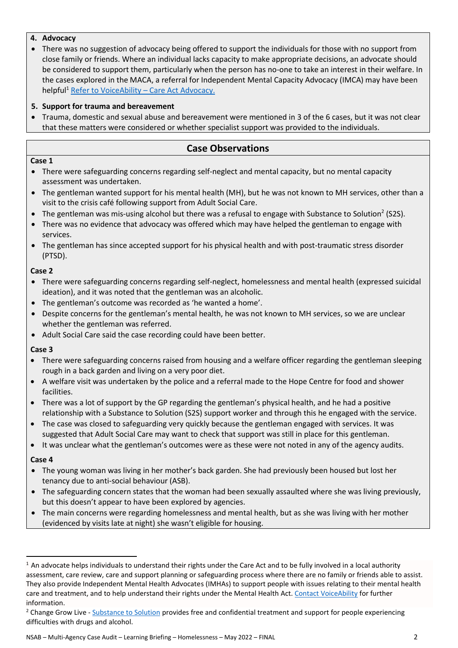### **4. Advocacy**

• There was no suggestion of advocacy being offered to support the individuals for those with no support from close family or friends. Where an individual lacks capacity to make appropriate decisions, an advocate should be considered to support them, particularly when the person has no-one to take an interest in their welfare. In the cases explored in the MACA, a referral for Independent Mental Capacity Advocacy (IMCA) may have been helpful<sup>1</sup> [Refer to VoiceAbility](https://www.voiceability.org/about-advocacy/types-of-advocacy/care-act-advocacy) – Care Act Advocacy.

## **5. Support for trauma and bereavement**

• Trauma, domestic and sexual abuse and bereavement were mentioned in 3 of the 6 cases, but it was not clear that these matters were considered or whether specialist support was provided to the individuals.

## **Case Observations**

### **Case 1**

- There were safeguarding concerns regarding self-neglect and mental capacity, but no mental capacity assessment was undertaken.
- The gentleman wanted support for his mental health (MH), but he was not known to MH services, other than a visit to the crisis café following support from Adult Social Care.
- The gentleman was mis-using alcohol but there was a refusal to engage with Substance to Solution<sup>2</sup> (S2S).
- There was no evidence that advocacy was offered which may have helped the gentleman to engage with services.
- The gentleman has since accepted support for his physical health and with post-traumatic stress disorder (PTSD).

### **Case 2**

- There were safeguarding concerns regarding self-neglect, homelessness and mental health (expressed suicidal ideation), and it was noted that the gentleman was an alcoholic.
- The gentleman's outcome was recorded as 'he wanted a home'.
- Despite concerns for the gentleman's mental health, he was not known to MH services, so we are unclear whether the gentleman was referred.
- Adult Social Care said the case recording could have been better.

### **Case 3**

- There were safeguarding concerns raised from housing and a welfare officer regarding the gentleman sleeping rough in a back garden and living on a very poor diet.
- A welfare visit was undertaken by the police and a referral made to the Hope Centre for food and shower facilities.
- There was a lot of support by the GP regarding the gentleman's physical health, and he had a positive relationship with a Substance to Solution (S2S) support worker and through this he engaged with the service.
- The case was closed to safeguarding very quickly because the gentleman engaged with services. It was suggested that Adult Social Care may want to check that support was still in place for this gentleman.
- It was unclear what the gentleman's outcomes were as these were not noted in any of the agency audits.

### **Case 4**

- The young woman was living in her mother's back garden. She had previously been housed but lost her tenancy due to anti-social behaviour (ASB).
- The safeguarding concern states that the woman had been sexually assaulted where she was living previously, but this doesn't appear to have been explored by agencies.
- The main concerns were regarding homelessness and mental health, but as she was living with her mother (evidenced by visits late at night) she wasn't eligible for housing.

 $1$  An advocate helps individuals to understand their rights under the Care Act and to be fully involved in a local authority assessment, care review, care and support planning or safeguarding process where there are no family or friends able to assist. They also provide Independent Mental Health Advocates (IMHAs) to support people with issues relating to their mental health care and treatment, and to help understand their rights under the Mental Health Act. [Contact VoiceAbility](https://www.voiceability.org/about-advocacy/what-is-advocacy) for further information.

<sup>&</sup>lt;sup>2</sup> Change Grow Live - [Substance to Solution](https://www.changegrowlive.org/substance-to-solution-northamptonshire/northampton) provides free and confidential treatment and support for people experiencing difficulties with drugs and alcohol.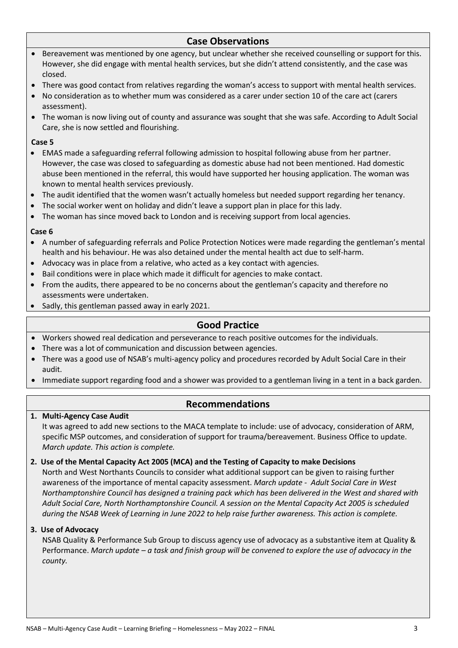## **Case Observations**

- Bereavement was mentioned by one agency, but unclear whether she received counselling or support for this. However, she did engage with mental health services, but she didn't attend consistently, and the case was closed.
- There was good contact from relatives regarding the woman's access to support with mental health services.
- No consideration as to whether mum was considered as a carer under section 10 of the care act (carers assessment).
- The woman is now living out of county and assurance was sought that she was safe. According to Adult Social Care, she is now settled and flourishing.

### **Case 5**

- EMAS made a safeguarding referral following admission to hospital following abuse from her partner. However, the case was closed to safeguarding as domestic abuse had not been mentioned. Had domestic abuse been mentioned in the referral, this would have supported her housing application. The woman was known to mental health services previously.
- The audit identified that the women wasn't actually homeless but needed support regarding her tenancy.
- The social worker went on holiday and didn't leave a support plan in place for this lady.
- The woman has since moved back to London and is receiving support from local agencies.

#### **Case 6**

- A number of safeguarding referrals and Police Protection Notices were made regarding the gentleman's mental health and his behaviour. He was also detained under the mental health act due to self-harm.
- Advocacy was in place from a relative, who acted as a key contact with agencies.
- Bail conditions were in place which made it difficult for agencies to make contact.
- From the audits, there appeared to be no concerns about the gentleman's capacity and therefore no assessments were undertaken.
- Sadly, this gentleman passed away in early 2021.

## **Good Practice**

- Workers showed real dedication and perseverance to reach positive outcomes for the individuals.
- There was a lot of communication and discussion between agencies.
- There was a good use of NSAB's multi-agency policy and procedures recorded by Adult Social Care in their audit.
- Immediate support regarding food and a shower was provided to a gentleman living in a tent in a back garden.

## **Recommendations**

#### **1. Multi-Agency Case Audit**

It was agreed to add new sections to the MACA template to include: use of advocacy, consideration of ARM, specific MSP outcomes, and consideration of support for trauma/bereavement. Business Office to update. *March update. This action is complete.*

#### **2. Use of the Mental Capacity Act 2005 (MCA) and the Testing of Capacity to make Decisions**

North and West Northants Councils to consider what additional support can be given to raising further awareness of the importance of mental capacity assessment. *March update - Adult Social Care in West Northamptonshire Council has designed a training pack which has been delivered in the West and shared with Adult Social Care, North Northamptonshire Council. A session on the Mental Capacity Act 2005 is scheduled during the NSAB Week of Learning in June 2022 to help raise further awareness. This action is complete.* 

#### **3. Use of Advocacy**

NSAB Quality & Performance Sub Group to discuss agency use of advocacy as a substantive item at Quality & Performance. *March update – a task and finish group will be convened to explore the use of advocacy in the county.*